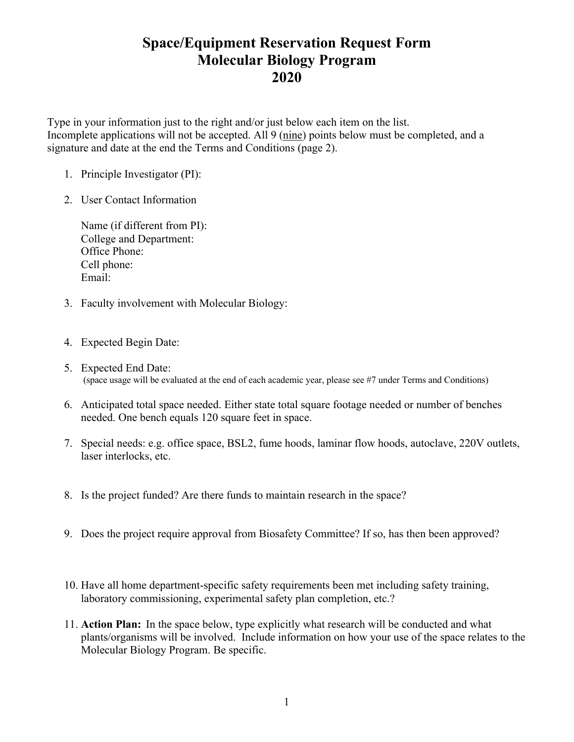## **Space/Equipment Reservation Request Form Molecular Biology Program 2020**

Type in your information just to the right and/or just below each item on the list. Incomplete applications will not be accepted. All 9 (nine) points below must be completed, and a signature and date at the end the Terms and Conditions (page 2).

- 1. Principle Investigator (PI):
- 2. User Contact Information

Name (if different from PI): College and Department: Office Phone: Cell phone: Email:

- 3. Faculty involvement with Molecular Biology:
- 4. Expected Begin Date:
- 5. Expected End Date: (space usage will be evaluated at the end of each academic year, please see #7 under Terms and Conditions)
- 6. Anticipated total space needed. Either state total square footage needed or number of benches needed. One bench equals 120 square feet in space.
- 7. Special needs: e.g. office space, BSL2, fume hoods, laminar flow hoods, autoclave, 220V outlets, laser interlocks, etc.
- 8. Is the project funded? Are there funds to maintain research in the space?
- 9. Does the project require approval from Biosafety Committee? If so, has then been approved?
- 10. Have all home department-specific safety requirements been met including safety training, laboratory commissioning, experimental safety plan completion, etc.?
- 11. **Action Plan:** In the space below, type explicitly what research will be conducted and what plants/organisms will be involved. Include information on how your use of the space relates to the Molecular Biology Program. Be specific.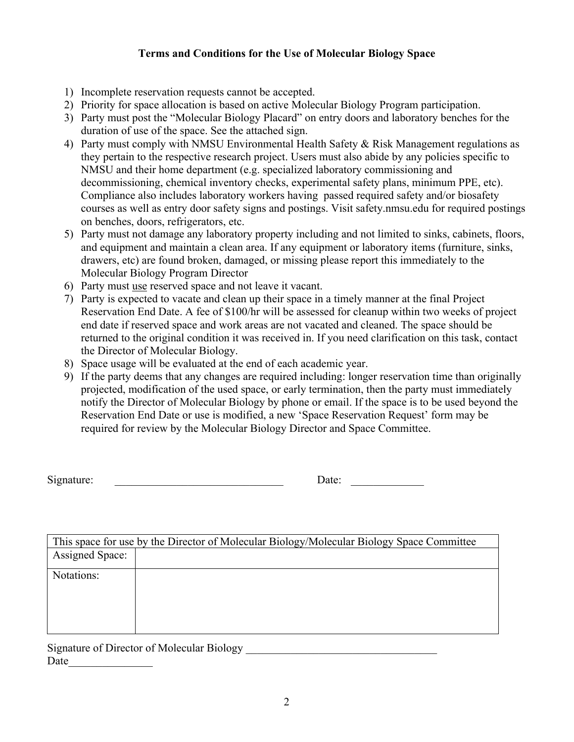## **Terms and Conditions for the Use of Molecular Biology Space**

- 1) Incomplete reservation requests cannot be accepted.
- 2) Priority for space allocation is based on active Molecular Biology Program participation.
- 3) Party must post the "Molecular Biology Placard" on entry doors and laboratory benches for the duration of use of the space. See the attached sign.
- 4) Party must comply with NMSU Environmental Health Safety & Risk Management regulations as they pertain to the respective research project. Users must also abide by any policies specific to NMSU and their home department (e.g. specialized laboratory commissioning and decommissioning, chemical inventory checks, experimental safety plans, minimum PPE, etc). Compliance also includes laboratory workers having passed required safety and/or biosafety courses as well as entry door safety signs and postings. Visit safety.nmsu.edu for required postings on benches, doors, refrigerators, etc.
- 5) Party must not damage any laboratory property including and not limited to sinks, cabinets, floors, and equipment and maintain a clean area. If any equipment or laboratory items (furniture, sinks, drawers, etc) are found broken, damaged, or missing please report this immediately to the Molecular Biology Program Director
- 6) Party must use reserved space and not leave it vacant.
- 7) Party is expected to vacate and clean up their space in a timely manner at the final Project Reservation End Date. A fee of \$100/hr will be assessed for cleanup within two weeks of project end date if reserved space and work areas are not vacated and cleaned. The space should be returned to the original condition it was received in. If you need clarification on this task, contact the Director of Molecular Biology.
- 8) Space usage will be evaluated at the end of each academic year.
- 9) If the party deems that any changes are required including: longer reservation time than originally projected, modification of the used space, or early termination, then the party must immediately notify the Director of Molecular Biology by phone or email. If the space is to be used beyond the Reservation End Date or use is modified, a new 'Space Reservation Request' form may be required for review by the Molecular Biology Director and Space Committee.

| Signature: | Jate: |  |
|------------|-------|--|
|            |       |  |

| This space for use by the Director of Molecular Biology/Molecular Biology Space Committee |  |  |
|-------------------------------------------------------------------------------------------|--|--|
| <b>Assigned Space:</b>                                                                    |  |  |
| Notations:                                                                                |  |  |
|                                                                                           |  |  |

Signature of Director of Molecular Biology Date